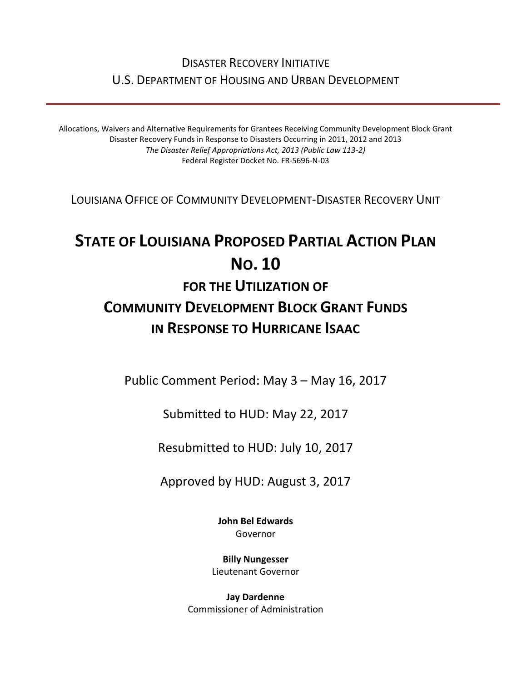## DISASTER RECOVERY INITIATIVE U.S. DEPARTMENT OF HOUSING AND URBAN DEVELOPMENT

Allocations, Waivers and Alternative Requirements for Grantees Receiving Community Development Block Grant Disaster Recovery Funds in Response to Disasters Occurring in 2011, 2012 and 2013 *The Disaster Relief Appropriations Act, 2013 (Public Law 113-2)* Federal Register Docket No. FR-5696-N-03

LOUISIANA OFFICE OF COMMUNITY DEVELOPMENT-DISASTER RECOVERY UNIT

# **STATE OF LOUISIANA PROPOSED PARTIAL ACTION PLAN NO. 10 FOR THE UTILIZATION OF COMMUNITY DEVELOPMENT BLOCK GRANT FUNDS IN RESPONSE TO HURRICANE ISAAC**

Public Comment Period: May 3 – May 16, 2017

Submitted to HUD: May 22, 2017

Resubmitted to HUD: July 10, 2017

Approved by HUD: August 3, 2017

**[John Bel Edwards](https://www.facebook.com/LouisianaGov/)** Governor

**Billy Nungesser** Lieutenant Governor

**Jay Dardenne** Commissioner of Administration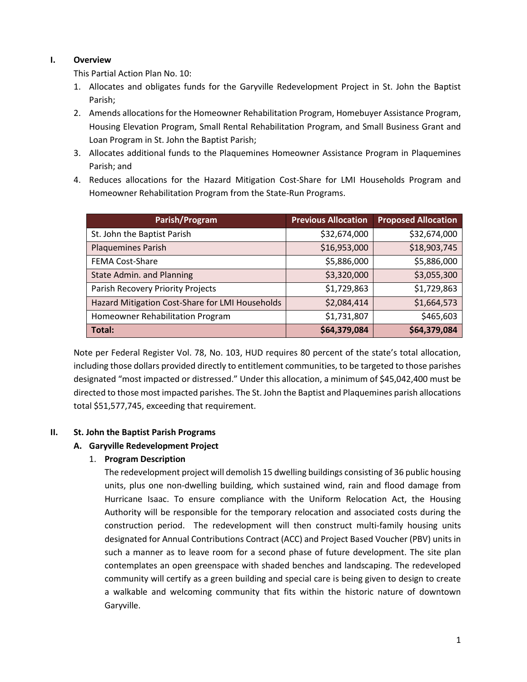#### **I. Overview**

This Partial Action Plan No. 10:

- 1. Allocates and obligates funds for the Garyville Redevelopment Project in St. John the Baptist Parish;
- 2. Amends allocations for the Homeowner Rehabilitation Program, Homebuyer Assistance Program, Housing Elevation Program, Small Rental Rehabilitation Program, and Small Business Grant and Loan Program in St. John the Baptist Parish;
- 3. Allocates additional funds to the Plaquemines Homeowner Assistance Program in Plaquemines Parish; and
- 4. Reduces allocations for the Hazard Mitigation Cost-Share for LMI Households Program and Homeowner Rehabilitation Program from the State-Run Programs.

| Parish/Program                                  | <b>Previous Allocation</b> | <b>Proposed Allocation</b> |
|-------------------------------------------------|----------------------------|----------------------------|
| St. John the Baptist Parish                     | \$32,674,000               | \$32,674,000               |
| <b>Plaquemines Parish</b>                       | \$16,953,000               | \$18,903,745               |
| <b>FEMA Cost-Share</b>                          | \$5,886,000                | \$5,886,000                |
| State Admin. and Planning                       | \$3,320,000                | \$3,055,300                |
| Parish Recovery Priority Projects               | \$1,729,863                | \$1,729,863                |
| Hazard Mitigation Cost-Share for LMI Households | \$2,084,414                | \$1,664,573                |
| Homeowner Rehabilitation Program                | \$1,731,807                | \$465,603                  |
| Total:                                          | \$64,379,084               | \$64,379,084               |

Note per Federal Register Vol. 78, No. 103, HUD requires 80 percent of the state's total allocation, including those dollars provided directly to entitlement communities, to be targeted to those parishes designated "most impacted or distressed." Under this allocation, a minimum of \$45,042,400 must be directed to those most impacted parishes. The St. John the Baptist and Plaquemines parish allocations total \$51,577,745, exceeding that requirement.

#### **II. St. John the Baptist Parish Programs**

#### **A. Garyville Redevelopment Project**

#### 1. **Program Description**

The redevelopment project will demolish 15 dwelling buildings consisting of 36 public housing units, plus one non-dwelling building, which sustained wind, rain and flood damage from Hurricane Isaac. To ensure compliance with the Uniform Relocation Act, the Housing Authority will be responsible for the temporary relocation and associated costs during the construction period. The redevelopment will then construct multi-family housing units designated for Annual Contributions Contract (ACC) and Project Based Voucher (PBV) units in such a manner as to leave room for a second phase of future development. The site plan contemplates an open greenspace with shaded benches and landscaping. The redeveloped community will certify as a green building and special care is being given to design to create a walkable and welcoming community that fits within the historic nature of downtown Garyville.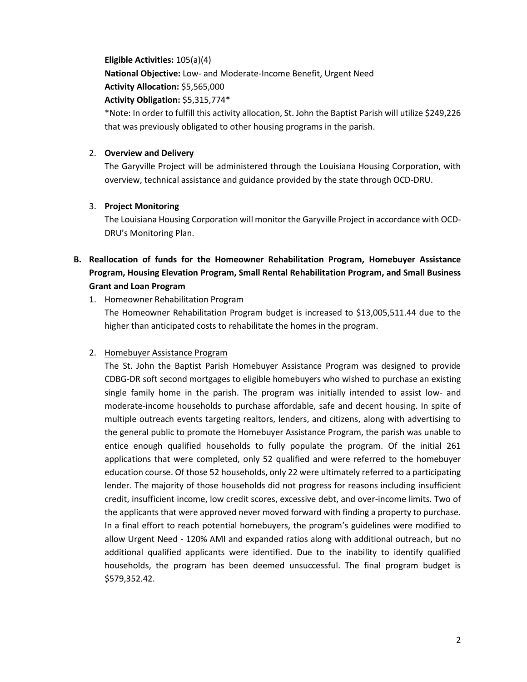**Eligible Activities:** 105(a)(4) **National Objective:** Low- and Moderate-Income Benefit, Urgent Need **Activity Allocation:** \$5,565,000 **Activity Obligation:** \$5,315,774\*

\*Note: In order to fulfill this activity allocation, St. John the Baptist Parish will utilize \$249,226 that was previously obligated to other housing programs in the parish.

#### 2. **Overview and Delivery**

The Garyville Project will be administered through the Louisiana Housing Corporation, with overview, technical assistance and guidance provided by the state through OCD-DRU.

#### 3. **Project Monitoring**

The Louisiana Housing Corporation will monitor the Garyville Project in accordance with OCD-DRU's Monitoring Plan.

### **B. Reallocation of funds for the Homeowner Rehabilitation Program, Homebuyer Assistance Program, Housing Elevation Program, Small Rental Rehabilitation Program, and Small Business Grant and Loan Program**

1. Homeowner Rehabilitation Program

The Homeowner Rehabilitation Program budget is increased to \$13,005,511.44 due to the higher than anticipated costs to rehabilitate the homes in the program.

#### 2. Homebuyer Assistance Program

The St. John the Baptist Parish Homebuyer Assistance Program was designed to provide CDBG-DR soft second mortgages to eligible homebuyers who wished to purchase an existing single family home in the parish. The program was initially intended to assist low- and moderate-income households to purchase affordable, safe and decent housing. In spite of multiple outreach events targeting realtors, lenders, and citizens, along with advertising to the general public to promote the Homebuyer Assistance Program, the parish was unable to entice enough qualified households to fully populate the program. Of the initial 261 applications that were completed, only 52 qualified and were referred to the homebuyer education course. Of those 52 households, only 22 were ultimately referred to a participating lender. The majority of those households did not progress for reasons including insufficient credit, insufficient income, low credit scores, excessive debt, and over-income limits. Two of the applicants that were approved never moved forward with finding a property to purchase. In a final effort to reach potential homebuyers, the program's guidelines were modified to allow Urgent Need - 120% AMI and expanded ratios along with additional outreach, but no additional qualified applicants were identified. Due to the inability to identify qualified households, the program has been deemed unsuccessful. The final program budget is \$579,352.42.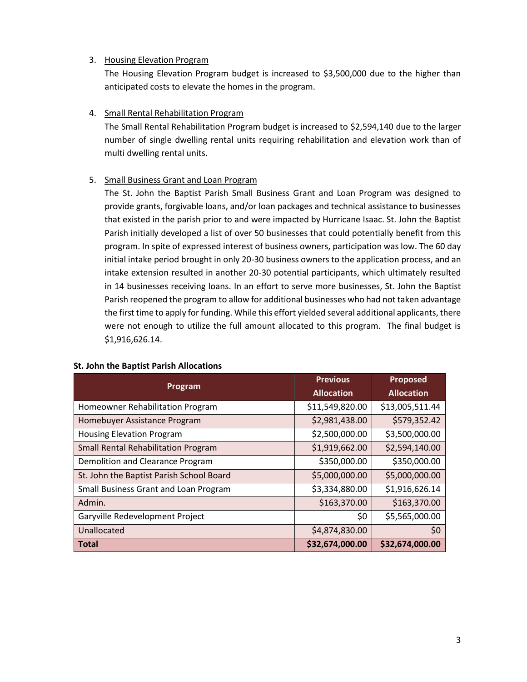#### 3. Housing Elevation Program

The Housing Elevation Program budget is increased to \$3,500,000 due to the higher than anticipated costs to elevate the homes in the program.

#### 4. Small Rental Rehabilitation Program

The Small Rental Rehabilitation Program budget is increased to \$2,594,140 due to the larger number of single dwelling rental units requiring rehabilitation and elevation work than of multi dwelling rental units.

#### 5. Small Business Grant and Loan Program

The St. John the Baptist Parish Small Business Grant and Loan Program was designed to provide grants, forgivable loans, and/or loan packages and technical assistance to businesses that existed in the parish prior to and were impacted by Hurricane Isaac. St. John the Baptist Parish initially developed a list of over 50 businesses that could potentially benefit from this program. In spite of expressed interest of business owners, participation was low. The 60 day initial intake period brought in only 20-30 business owners to the application process, and an intake extension resulted in another 20-30 potential participants, which ultimately resulted in 14 businesses receiving loans. In an effort to serve more businesses, St. John the Baptist Parish reopened the program to allow for additional businesses who had not taken advantage the first time to apply for funding. While this effort yielded several additional applicants, there were not enough to utilize the full amount allocated to this program. The final budget is \$1,916,626.14.

| Program                                    | <b>Previous</b>   | <b>Proposed</b>   |
|--------------------------------------------|-------------------|-------------------|
|                                            | <b>Allocation</b> | <b>Allocation</b> |
| Homeowner Rehabilitation Program           | \$11,549,820.00   | \$13,005,511.44   |
| Homebuyer Assistance Program               | \$2,981,438.00    | \$579,352.42      |
| <b>Housing Elevation Program</b>           | \$2,500,000.00    | \$3,500,000.00    |
| <b>Small Rental Rehabilitation Program</b> | \$1,919,662.00    | \$2,594,140.00    |
| Demolition and Clearance Program           | \$350,000.00      | \$350,000.00      |
| St. John the Baptist Parish School Board   | \$5,000,000.00    | \$5,000,000.00    |
| Small Business Grant and Loan Program      | \$3,334,880.00    | \$1,916,626.14    |
| Admin.                                     | \$163,370.00      | \$163,370.00      |
| Garyville Redevelopment Project            | \$0               | \$5,565,000.00    |
| Unallocated                                | \$4,874,830.00    | \$0               |
| <b>Total</b>                               | \$32,674,000.00   | \$32,674,000.00   |

#### **St. John the Baptist Parish Allocations**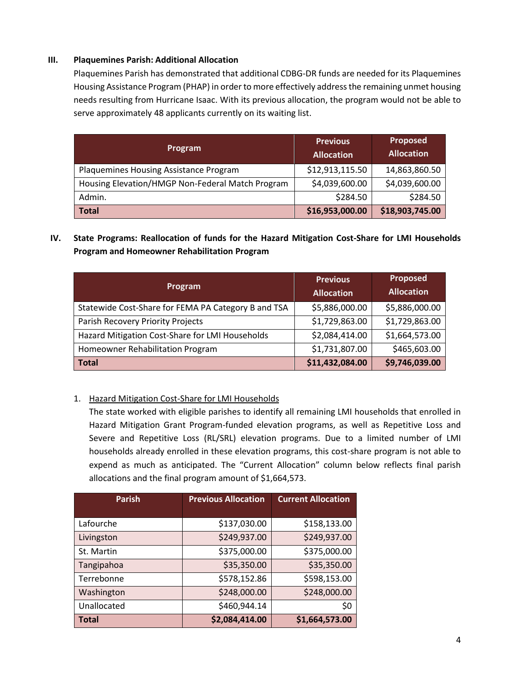#### **III. Plaquemines Parish: Additional Allocation**

Plaquemines Parish has demonstrated that additional CDBG-DR funds are needed for its Plaquemines Housing Assistance Program (PHAP) in order to more effectively address the remaining unmet housing needs resulting from Hurricane Isaac. With its previous allocation, the program would not be able to serve approximately 48 applicants currently on its waiting list.

| Program                                          | <b>Previous</b><br><b>Allocation</b> | Proposed<br><b>Allocation</b> |
|--------------------------------------------------|--------------------------------------|-------------------------------|
| Plaquemines Housing Assistance Program           | \$12,913,115.50                      | 14,863,860.50                 |
| Housing Elevation/HMGP Non-Federal Match Program | \$4,039,600.00                       | \$4,039,600.00                |
| Admin.                                           | \$284.50                             | \$284.50                      |
| <b>Total</b>                                     | \$16,953,000.00                      | \$18,903,745.00               |

**IV. State Programs: Reallocation of funds for the Hazard Mitigation Cost-Share for LMI Households Program and Homeowner Rehabilitation Program**

| Program                                             | <b>Previous</b><br><b>Allocation</b> | <b>Proposed</b><br><b>Allocation</b> |
|-----------------------------------------------------|--------------------------------------|--------------------------------------|
| Statewide Cost-Share for FEMA PA Category B and TSA | \$5,886,000.00                       | \$5,886,000.00                       |
| Parish Recovery Priority Projects                   | \$1,729,863.00                       | \$1,729,863.00                       |
| Hazard Mitigation Cost-Share for LMI Households     | \$2,084,414.00                       | \$1,664,573.00                       |
| Homeowner Rehabilitation Program                    | \$1,731,807.00                       | \$465,603.00                         |
| <b>Total</b>                                        | \$11,432,084.00                      | \$9,746,039.00                       |

#### 1. Hazard Mitigation Cost-Share for LMI Households

The state worked with eligible parishes to identify all remaining LMI households that enrolled in Hazard Mitigation Grant Program-funded elevation programs, as well as Repetitive Loss and Severe and Repetitive Loss (RL/SRL) elevation programs. Due to a limited number of LMI households already enrolled in these elevation programs, this cost-share program is not able to expend as much as anticipated. The "Current Allocation" column below reflects final parish allocations and the final program amount of \$1,664,573.

| <b>Parish</b> | <b>Previous Allocation</b> | <b>Current Allocation</b> |
|---------------|----------------------------|---------------------------|
|               |                            |                           |
| Lafourche     | \$137,030.00               | \$158,133.00              |
| Livingston    | \$249,937.00               | \$249,937.00              |
| St. Martin    | \$375,000.00               | \$375,000.00              |
| Tangipahoa    | \$35,350.00                | \$35,350.00               |
| Terrebonne    | \$578,152.86               | \$598,153.00              |
| Washington    | \$248,000.00               | \$248,000.00              |
| Unallocated   | \$460,944.14               | \$0                       |
| <b>Total</b>  | \$2,084,414.00             | \$1,664,573.00            |